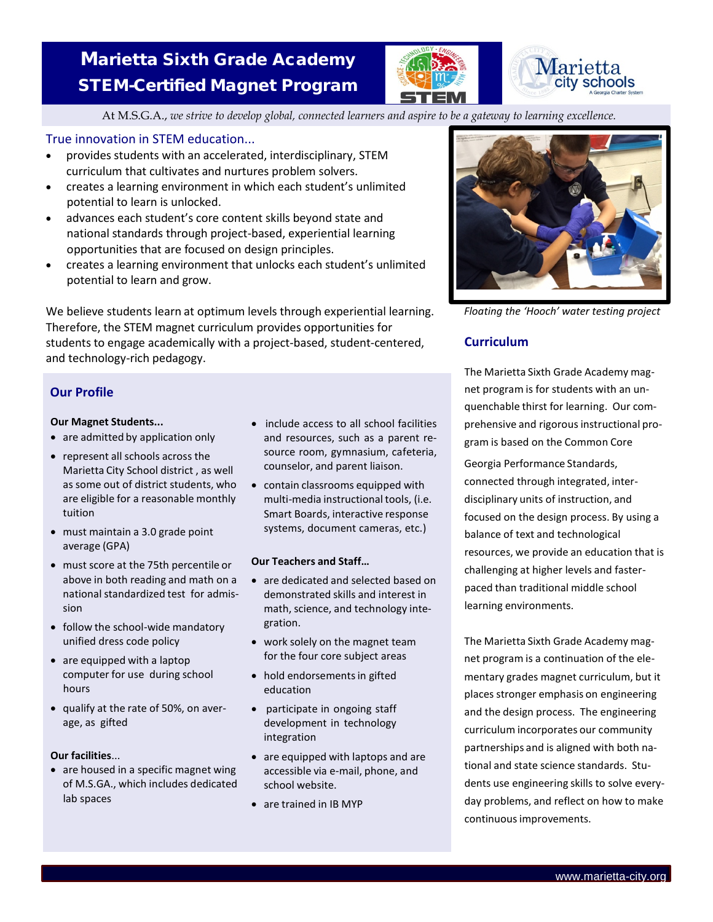# Marietta Sixth Grade Academy STEM-Certified Magnet Program





At M.S.G.A., *we strive to develop global, connected learners and aspire to be a gateway to learning excellence.*

# True innovation in STEM education...

- provides students with an accelerated, interdisciplinary, STEM curriculum that cultivates and nurtures problem solvers.
- creates a learning environment in which each student's unlimited potential to learn is unlocked.
- advances each student's core content skills beyond state and national standards through project-based, experiential learning opportunities that are focused on design principles.
- creates a learning environment that unlocks each student's unlimited potential to learn and grow.

We believe students learn at optimum levels through experiential learning. Therefore, the STEM magnet curriculum provides opportunities for students to engage academically with a project-based, student-centered, and technology-rich pedagogy.

# **Our Profile**

## **Our Magnet Students...**

- are admitted by application only
- represent all schools across the Marietta City School district , as well as some out of district students, who are eligible for a reasonable monthly tuition
- must maintain a 3.0 grade point average (GPA)
- must score at the 75th percentile or above in both reading and math on a national standardized test for admission
- follow the school-wide mandatory unified dress code policy
- are equipped with a laptop computer for use during school hours
- qualify at the rate of 50%, on average, as gifted

## **Our facilities**...

• are housed in a specific magnet wing of M.S.GA., which includes dedicated lab spaces

- include access to all school facilities and resources, such as a parent resource room, gymnasium, cafeteria, counselor, and parent liaison.
- contain classrooms equipped with multi-media instructional tools, (i.e. Smart Boards, interactive response systems, document cameras, etc.)

## **Our Teachers and Staff…**

- are dedicated and selected based on demonstrated skills and interest in math, science, and technology integration.
- work solely on the magnet team for the four core subject areas
- hold endorsements in gifted education
- participate in ongoing staff development in technology integration
- are equipped with laptops and are accessible via e-mail, phone, and school website.
- are trained in IB MYP



*Floating the 'Hooch' water testing project*

# **Curriculum**

The Marietta Sixth Grade Academy magnet program is for students with an unquenchable thirst for learning. Our comprehensive and rigorous instructional program is based on the Common Core

Georgia Performance Standards, connected through integrated, interdisciplinary units of instruction, and focused on the design process. By using a balance of text and technological resources, we provide an education that is challenging at higher levels and fasterpaced than traditional middle school learning environments.

The Marietta Sixth Grade Academy magnet program is a continuation of the elementary grades magnet curriculum, but it places stronger emphasis on engineering and the design process. The engineering curriculum incorporates our community partnerships and is aligned with both national and state science standards. Students use engineering skills to solve everyday problems, and reflect on how to make continuous improvements.